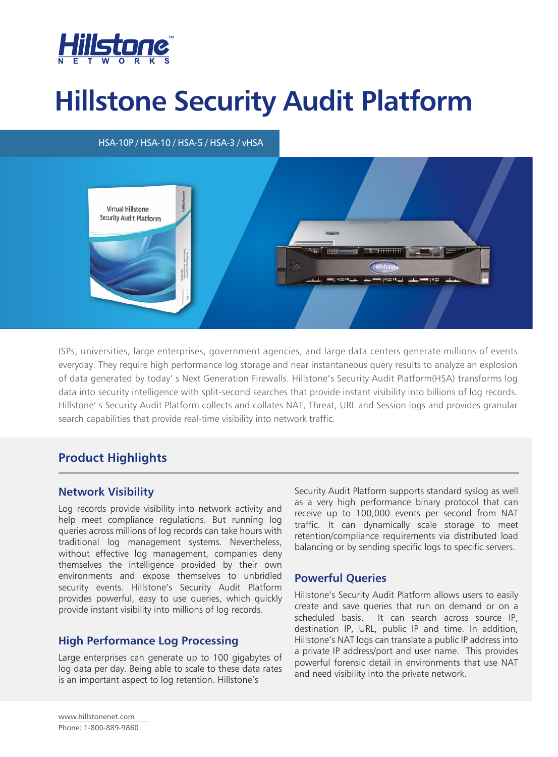

# **Hillstone Security Audit Platform**

## HSA-10P / HSA-10 / HSA-5 / HSA-3 / vHSA



ISPs, universities, large enterprises, government agencies, and large data centers generate millions of events everyday. They require high performance log storage and near instantaneous query results to analyze an explosion of data generated by today' s Next Generation Firewalls. Hillstone's Security Audit Platform(HSA) transforms log data into security intelligence with split-second searches that provide instant visibility into billions of log records. Hillstone' s Security Audit Platform collects and collates NAT, Threat, URL and Session logs and provides granular search capabilities that provide real-time visibility into network traffic.

# **Product Highlights**

## **Network Visibility**

Log records provide visibility into network activity and help meet compliance regulations. But running log queries across millions of log records can take hours with traditional log management systems. Nevertheless, without effective log management, companies deny themselves the intelligence provided by their own environments and expose themselves to unbridled security events. Hillstone's Security Audit Platform provides powerful, easy to use queries, which quickly provide instant visibility into millions of log records.

## **High Performance Log Processing**

Large enterprises can generate up to 100 gigabytes of log data per day. Being able to scale to these data rates is an important aspect to log retention. Hillstone's

Security Audit Platform supports standard syslog as well as a very high performance binary protocol that can receive up to 100,000 events per second from NAT traffic. It can dynamically scale storage to meet retention/compliance requirements via distributed load balancing or by sending specific logs to specific servers.

## **Powerful Queries**

Hillstone's Security Audit Platform allows users to easily create and save queries that run on demand or on a scheduled basis. It can search across source IP, destination IP, URL, public IP and time. In addition, Hillstone's NAT logs can translate a public IP address into a private IP address/port and user name. This provides powerful forensic detail in environments that use NAT and need visibility into the private network.